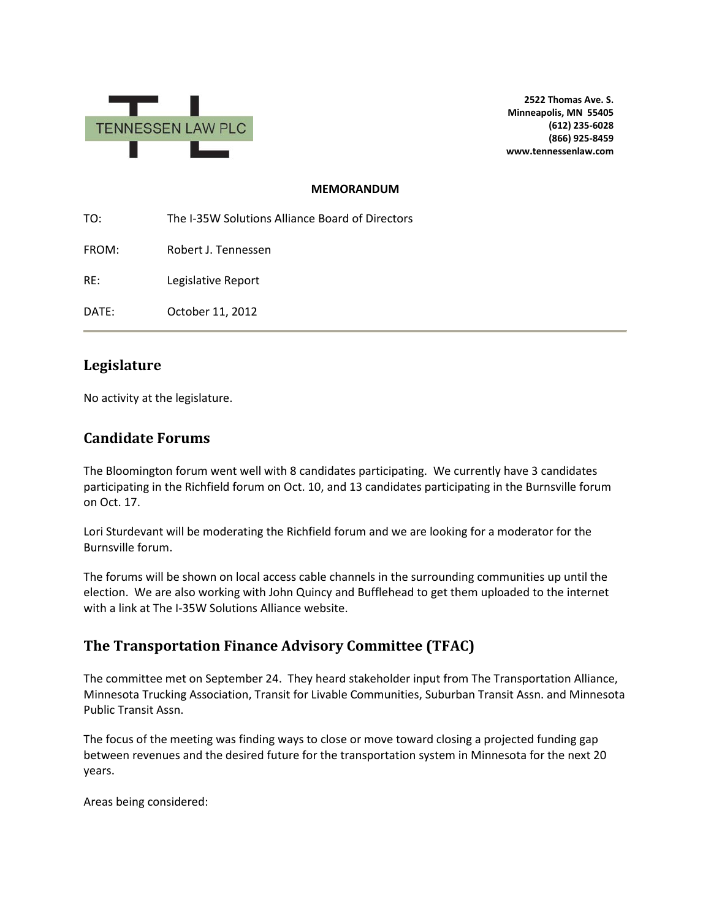

**2522 Thomas Ave. S. Minneapolis, MN 55405 (612) 235-6028 (866) 925-8459 www.tennessenlaw.com**

### **MEMORANDUM**

TO: The I-35W Solutions Alliance Board of Directors FROM: Robert J. Tennessen RE: Legislative Report DATE: October 11, 2012

### **Legislature**

No activity at the legislature.

### **Candidate Forums**

The Bloomington forum went well with 8 candidates participating. We currently have 3 candidates participating in the Richfield forum on Oct. 10, and 13 candidates participating in the Burnsville forum on Oct. 17.

Lori Sturdevant will be moderating the Richfield forum and we are looking for a moderator for the Burnsville forum.

The forums will be shown on local access cable channels in the surrounding communities up until the election. We are also working with John Quincy and Bufflehead to get them uploaded to the internet with a link at The I-35W Solutions Alliance website.

# **The Transportation Finance Advisory Committee (TFAC)**

The committee met on September 24. They heard stakeholder input from The Transportation Alliance, Minnesota Trucking Association, Transit for Livable Communities, Suburban Transit Assn. and Minnesota Public Transit Assn.

The focus of the meeting was finding ways to close or move toward closing a projected funding gap between revenues and the desired future for the transportation system in Minnesota for the next 20 years.

Areas being considered: